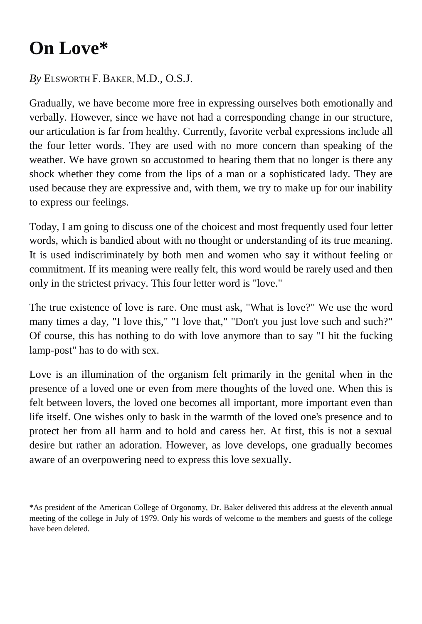## **On Love\***

## *By* ELSWORTH F. BAKER, M.D., O.S.J.

Gradually, we have become more free in expressing ourselves both emotionally and verbally. However, since we have not had a corresponding change in our structure, our articulation is far from healthy. Currently, favorite verbal expressions include all the four letter words. They are used with no more concern than speaking of the weather. We have grown so accustomed to hearing them that no longer is there any shock whether they come from the lips of a man or a sophisticated lady. They are used because they are expressive and, with them, we try to make up for our inability to express our feelings.

Today, I am going to discuss one of the choicest and most frequently used four letter words, which is bandied about with no thought or understanding of its true meaning. It is used indiscriminately by both men and women who say it without feeling or commitment. If its meaning were really felt, this word would be rarely used and then only in the strictest privacy. This four letter word is "love."

The true existence of love is rare. One must ask, "What is love?" We use the word many times a day, "I love this," "I love that," "Don't you just love such and such?" Of course, this has nothing to do with love anymore than to say "I hit the fucking lamp-post" has to do with sex.

Love is an illumination of the organism felt primarily in the genital when in the presence of a loved one or even from mere thoughts of the loved one. When this is felt between lovers, the loved one becomes all important, more important even than life itself. One wishes only to bask in the warmth of the loved one's presence and to protect her from all harm and to hold and caress her. At first, this is not a sexual desire but rather an adoration. However, as love develops, one gradually becomes aware of an overpowering need to express this love sexually.

<sup>\*</sup>As president of the American College of Orgonomy, Dr. Baker delivered this address at the eleventh annual meeting of the college in July of 1979. Only his words of welcome to the members and guests of the college have been deleted.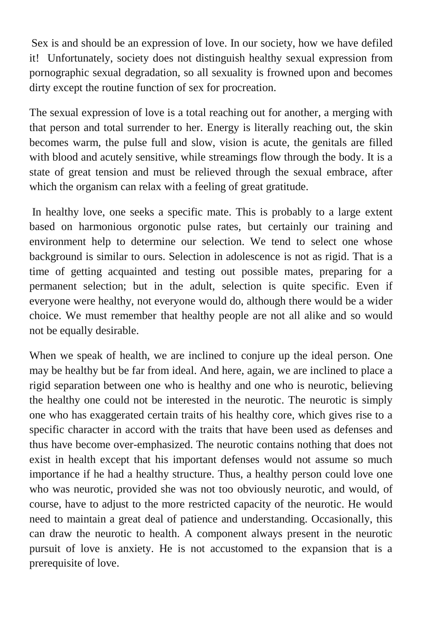Sex is and should be an expression of love. In our society, how we have defiled it! Unfortunately, society does not distinguish healthy sexual expression from pornographic sexual degradation, so all sexuality is frowned upon and becomes dirty except the routine function of sex for procreation.

The sexual expression of love is a total reaching out for another, a merging with that person and total surrender to her. Energy is literally reaching out, the skin becomes warm, the pulse full and slow, vision is acute, the genitals are filled with blood and acutely sensitive, while streamings flow through the body. It is a state of great tension and must be relieved through the sexual embrace, after which the organism can relax with a feeling of great gratitude.

In healthy love, one seeks a specific mate. This is probably to a large extent based on harmonious orgonotic pulse rates, but certainly our training and environment help to determine our selection. We tend to select one whose background is similar to ours. Selection in adolescence is not as rigid. That is a time of getting acquainted and testing out possible mates, preparing for a permanent selection; but in the adult, selection is quite specific. Even if everyone were healthy, not everyone would do, although there would be a wider choice. We must remember that healthy people are not all alike and so would not be equally desirable.

When we speak of health, we are inclined to conjure up the ideal person. One may be healthy but be far from ideal. And here, again, we are inclined to place a rigid separation between one who is healthy and one who is neurotic, believing the healthy one could not be interested in the neurotic. The neurotic is simply one who has exaggerated certain traits of his healthy core, which gives rise to a specific character in accord with the traits that have been used as defenses and thus have become over-emphasized. The neurotic contains nothing that does not exist in health except that his important defenses would not assume so much importance if he had a healthy structure. Thus, a healthy person could love one who was neurotic, provided she was not too obviously neurotic, and would, of course, have to adjust to the more restricted capacity of the neurotic. He would need to maintain a great deal of patience and understanding. Occasionally, this can draw the neurotic to health. A component always present in the neurotic pursuit of love is anxiety. He is not accustomed to the expansion that is a prerequisite of love.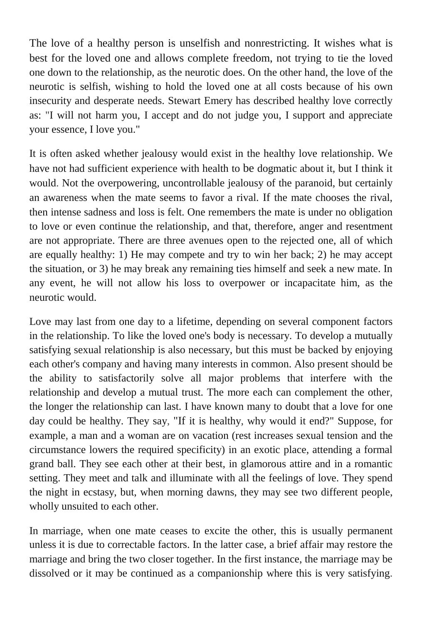The love of a healthy person is unselfish and nonrestricting. It wishes what is best for the loved one and allows complete freedom, not trying to tie the loved one down to the relationship, as the neurotic does. On the other hand, the love of the neurotic is selfish, wishing to hold the loved one at all costs because of his own insecurity and desperate needs. Stewart Emery has described healthy love correctly as: "I will not harm you, I accept and do not judge you, I support and appreciate your essence, I love you."

It is often asked whether jealousy would exist in the healthy love relationship. We have not had sufficient experience with health to be dogmatic about it, but I think it would. Not the overpowering, uncontrollable jealousy of the paranoid, but certainly an awareness when the mate seems to favor a rival. If the mate chooses the rival, then intense sadness and loss is felt. One remembers the mate is under no obligation to love or even continue the relationship, and that, therefore, anger and resentment are not appropriate. There are three avenues open to the rejected one, all of which are equally healthy: 1) He may compete and try to win her back; 2) he may accept the situation, or 3) he may break any remaining ties himself and seek a new mate. In any event, he will not allow his loss to overpower or incapacitate him, as the neurotic would.

Love may last from one day to a lifetime, depending on several component factors in the relationship. To like the loved one's body is necessary. To develop a mutually satisfying sexual relationship is also necessary, but this must be backed by enjoying each other's company and having many interests in common. Also present should be the ability to satisfactorily solve all major problems that interfere with the relationship and develop a mutual trust. The more each can complement the other, the longer the relationship can last. I have known many to doubt that a love for one day could be healthy. They say, "If it is healthy, why would it end?" Suppose, for example, a man and a woman are on vacation (rest increases sexual tension and the circumstance lowers the required specificity) in an exotic place, attending a formal grand ball. They see each other at their best, in glamorous attire and in a romantic setting. They meet and talk and illuminate with all the feelings of love. They spend the night in ecstasy, but, when morning dawns, they may see two different people, wholly unsuited to each other.

In marriage, when one mate ceases to excite the other, this is usually permanent unless it is due to correctable factors. In the latter case, a brief affair may restore the marriage and bring the two closer together. In the first instance, the marriage may be dissolved or it may be continued as a companionship where this is very satisfying.